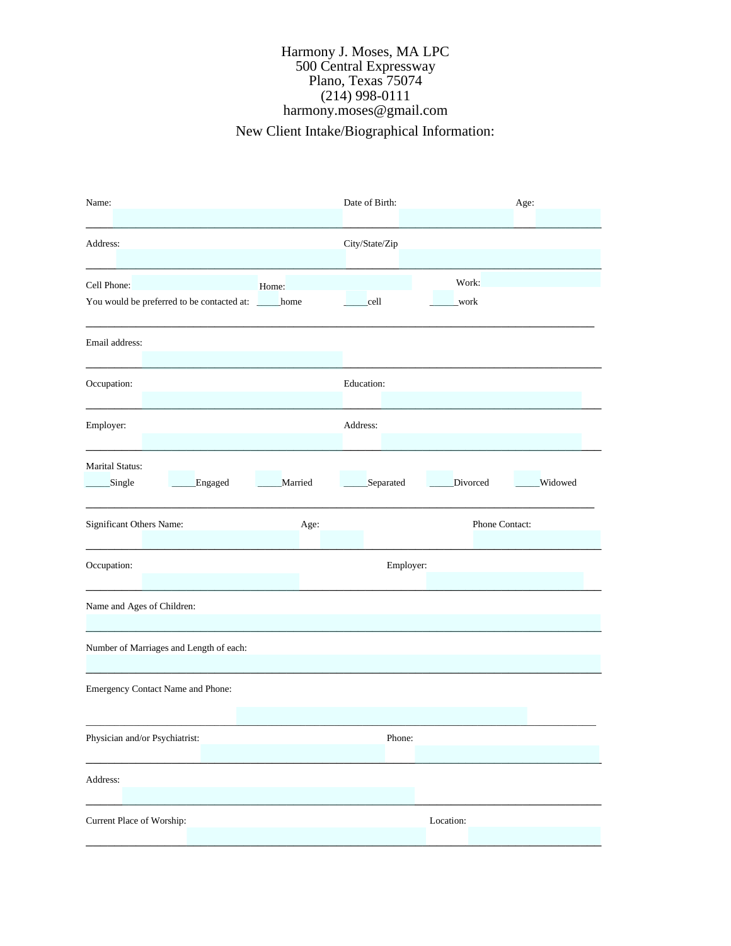## Harmony J. Moses, MA LPC New Client Intake/Biographical Information: 500 Central Expressway Plano, Texas 75074 (214) 998-0111 harmony.moses@gmail.com

| Name:                                                                        | Date of Birth:<br>Age:                  |  |  |  |  |  |
|------------------------------------------------------------------------------|-----------------------------------------|--|--|--|--|--|
| Address:                                                                     | City/State/Zip                          |  |  |  |  |  |
| Cell Phone:<br>Home:<br>You would be preferred to be contacted at: _____home | Work:<br>cell<br>_work                  |  |  |  |  |  |
| Email address:                                                               |                                         |  |  |  |  |  |
| Occupation:                                                                  | Education:                              |  |  |  |  |  |
| Employer:                                                                    | Address:                                |  |  |  |  |  |
| <b>Marital Status:</b><br>Engaged<br>Married<br>Single                       | Separated<br>Divorced<br><b>Widowed</b> |  |  |  |  |  |
| Significant Others Name:<br>Age:                                             | Phone Contact:                          |  |  |  |  |  |
| Occupation:                                                                  | Employer:                               |  |  |  |  |  |
| Name and Ages of Children:                                                   |                                         |  |  |  |  |  |
| Number of Marriages and Length of each:                                      |                                         |  |  |  |  |  |
| Emergency Contact Name and Phone:                                            |                                         |  |  |  |  |  |
| Physician and/or Psychiatrist:                                               | Phone:                                  |  |  |  |  |  |
| Address:                                                                     |                                         |  |  |  |  |  |
| Current Place of Worship:                                                    | Location:                               |  |  |  |  |  |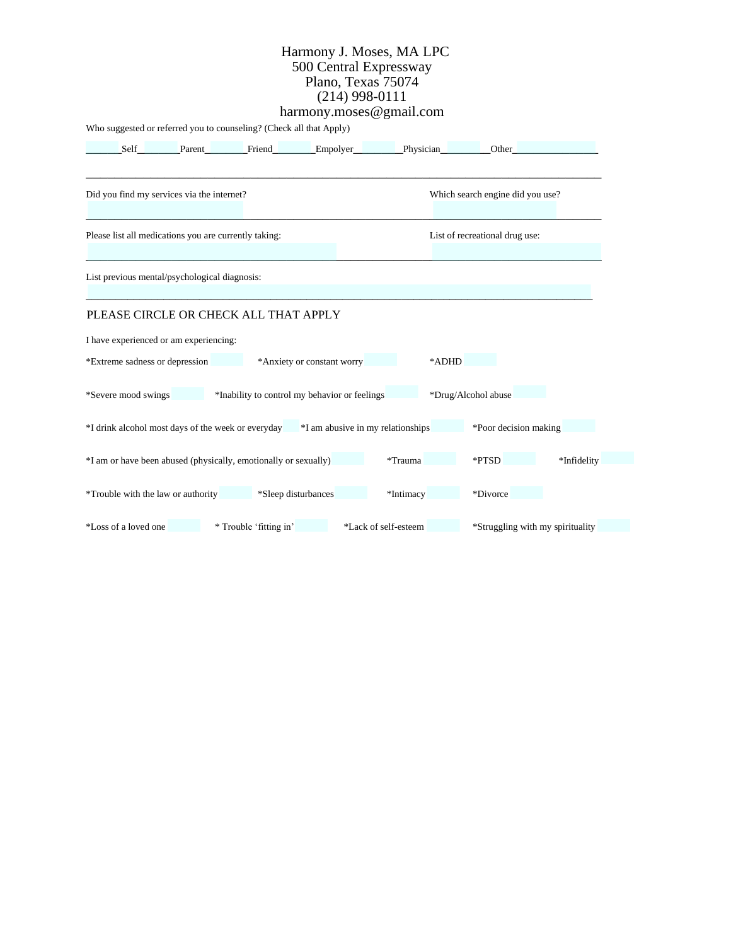### Harmony J. Moses, MA LPC 500 Central Expressway Plano, Texas 75074 (214) 998-0111 harmony.moses@gmail.com

Who suggested or referred you to counseling? (Check all that Apply)

|                                                                      | Self                 | Parent                                                                               | Friend Empolyer            |                      | <b>Physician</b>    | Other                            |             |
|----------------------------------------------------------------------|----------------------|--------------------------------------------------------------------------------------|----------------------------|----------------------|---------------------|----------------------------------|-------------|
|                                                                      |                      | Did you find my services via the internet?                                           |                            |                      |                     | Which search engine did you use? |             |
|                                                                      |                      | Please list all medications you are currently taking:                                |                            |                      |                     | List of recreational drug use:   |             |
| List previous mental/psychological diagnosis:                        |                      |                                                                                      |                            |                      |                     |                                  |             |
| PLEASE CIRCLE OR CHECK ALL THAT APPLY                                |                      |                                                                                      |                            |                      |                     |                                  |             |
| I have experienced or am experiencing:                               |                      |                                                                                      |                            |                      |                     |                                  |             |
|                                                                      |                      | *Extreme sadness or depression                                                       | *Anxiety or constant worry |                      | *ADHD               |                                  |             |
| *Severe mood swings<br>*Inability to control my behavior or feelings |                      |                                                                                      |                            |                      | *Drug/Alcohol abuse |                                  |             |
|                                                                      |                      | *I drink alcohol most days of the week or everyday *I am abusive in my relationships |                            |                      |                     | *Poor decision making            |             |
|                                                                      |                      | *I am or have been abused (physically, emotionally or sexually)                      |                            |                      | *Trauma             | *PTSD                            | *Infidelity |
|                                                                      |                      | *Trouble with the law or authority                                                   | *Sleep disturbances        |                      | *Intimacy           | *Divorce                         |             |
|                                                                      | *Loss of a loved one |                                                                                      | * Trouble 'fitting in'     | *Lack of self-esteem |                     | *Struggling with my spirituality |             |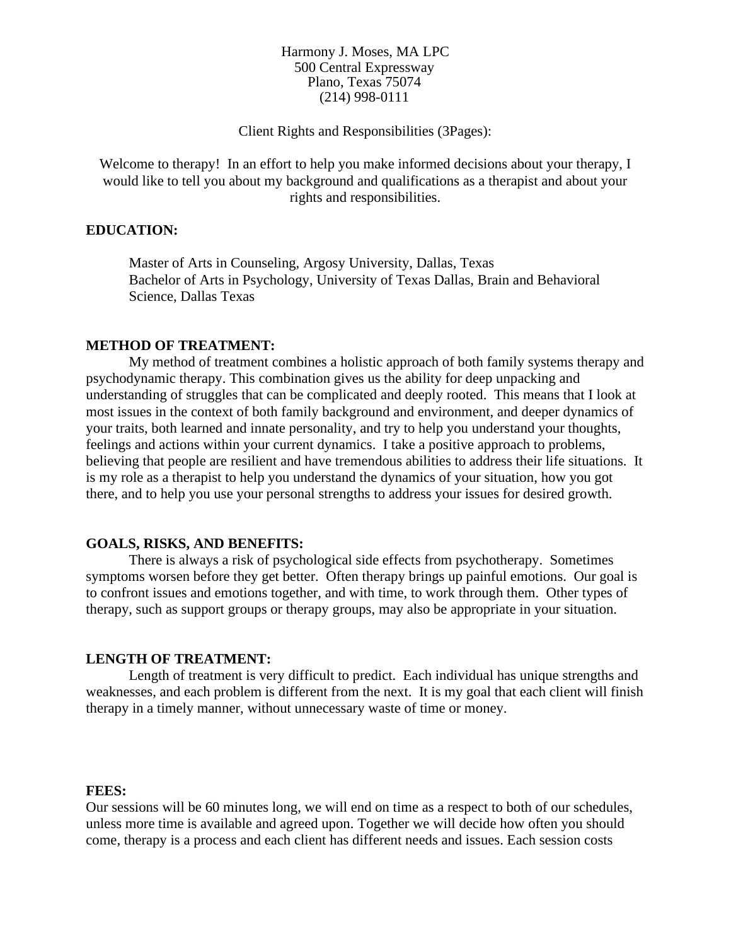# Client Rights and Responsibilities (3Pages):

Welcome to therapy! In an effort to help you make informed decisions about your therapy, I would like to tell you about my background and qualifications as a therapist and about your rights and responsibilities.

# **EDUCATION:**

Master of Arts in Counseling, Argosy University, Dallas, Texas Bachelor of Arts in Psychology, University of Texas Dallas, Brain and Behavioral Science, Dallas Texas

#### **METHOD OF TREATMENT:**

My method of treatment combines a holistic approach of both family systems therapy and psychodynamic therapy. This combination gives us the ability for deep unpacking and understanding of struggles that can be complicated and deeply rooted. This means that I look at most issues in the context of both family background and environment, and deeper dynamics of your traits, both learned and innate personality, and try to help you understand your thoughts, feelings and actions within your current dynamics. I take a positive approach to problems, believing that people are resilient and have tremendous abilities to address their life situations. It is my role as a therapist to help you understand the dynamics of your situation, how you got there, and to help you use your personal strengths to address your issues for desired growth.

#### **GOALS, RISKS, AND BENEFITS:**

There is always a risk of psychological side effects from psychotherapy. Sometimes symptoms worsen before they get better. Often therapy brings up painful emotions. Our goal is to confront issues and emotions together, and with time, to work through them. Other types of therapy, such as support groups or therapy groups, may also be appropriate in your situation.

## **LENGTH OF TREATMENT:**

Length of treatment is very difficult to predict. Each individual has unique strengths and weaknesses, and each problem is different from the next. It is my goal that each client will finish therapy in a timely manner, without unnecessary waste of time or money.

## **FEES:**

Our sessions will be 60 minutes long, we will end on time as a respect to both of our schedules, unless more time is available and agreed upon. Together we will decide how often you should come, therapy is a process and each client has different needs and issues. Each session costs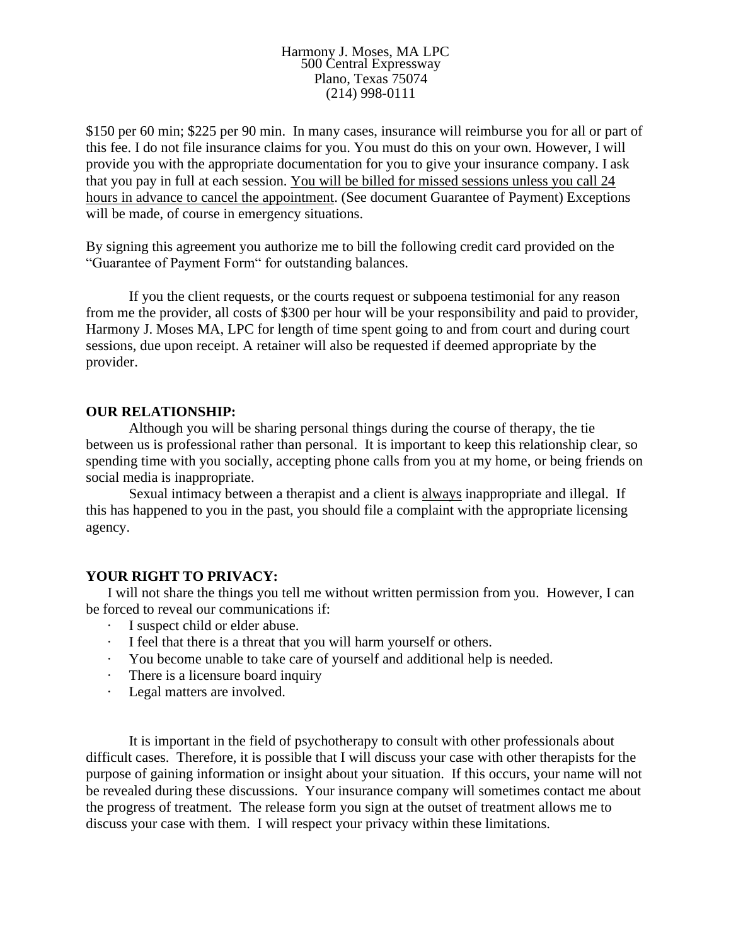\$150 per 60 min; \$225 per 90 min. In many cases, insurance will reimburse you for all or part of this fee. I do not file insurance claims for you. You must do this on your own. However, I will provide you with the appropriate documentation for you to give your insurance company. I ask that you pay in full at each session. You will be billed for missed sessions unless you call 24 hours in advance to cancel the appointment. (See document Guarantee of Payment) Exceptions will be made, of course in emergency situations.

By signing this agreement you authorize me to bill the following credit card provided on the "Guarantee of Payment Form" for outstanding balances.

If you the client requests, or the courts request or subpoena testimonial for any reason from me the provider, all costs of \$300 per hour will be your responsibility and paid to provider, Harmony J. Moses MA, LPC for length of time spent going to and from court and during court sessions, due upon receipt. A retainer will also be requested if deemed appropriate by the provider.

## **OUR RELATIONSHIP:**

Although you will be sharing personal things during the course of therapy, the tie between us is professional rather than personal. It is important to keep this relationship clear, so spending time with you socially, accepting phone calls from you at my home, or being friends on social media is inappropriate.

Sexual intimacy between a therapist and a client is always inappropriate and illegal. If this has happened to you in the past, you should file a complaint with the appropriate licensing agency.

## **YOUR RIGHT TO PRIVACY:**

I will not share the things you tell me without written permission from you. However, I can be forced to reveal our communications if:

- · I suspect child or elder abuse.
- I feel that there is a threat that you will harm yourself or others.
- · You become unable to take care of yourself and additional help is needed.
- There is a licensure board inquiry
- Legal matters are involved.

It is important in the field of psychotherapy to consult with other professionals about difficult cases. Therefore, it is possible that I will discuss your case with other therapists for the purpose of gaining information or insight about your situation. If this occurs, your name will not be revealed during these discussions. Your insurance company will sometimes contact me about the progress of treatment. The release form you sign at the outset of treatment allows me to discuss your case with them. I will respect your privacy within these limitations.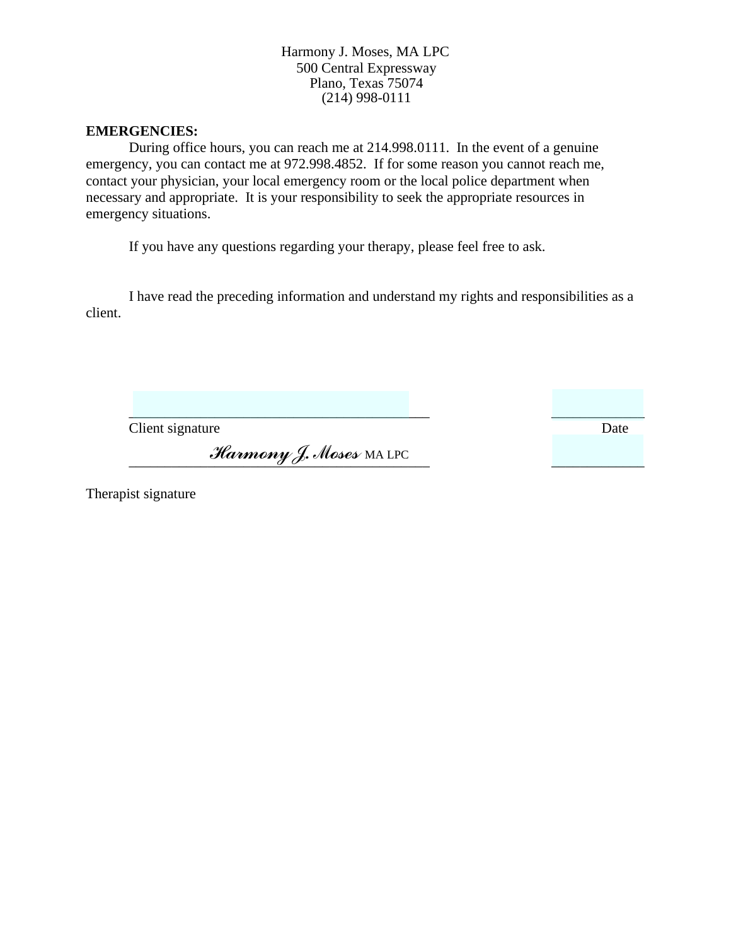# **EMERGENCIES:**

During office hours, you can reach me at 214.998.0111. In the event of a genuine emergency, you can contact me at 972.998.4852. If for some reason you cannot reach me, contact your physician, your local emergency room or the local police department when necessary and appropriate. It is your responsibility to seek the appropriate resources in emergency situations.

If you have any questions regarding your therapy, please feel free to ask.

I have read the preceding information and understand my rights and responsibilities as a client.

 $\overline{\phantom{a}}$  , and the contract of the contract of the contract of the contract of the contract of the contract of the contract of the contract of the contract of the contract of the contract of the contract of the contrac

**Client signature** Date

\_\_\_\_\_\_\_\_\_\_\_\_\_\_\_\_\_\_\_\_\_\_\_\_\_\_\_\_\_\_\_\_\_\_\_\_\_\_\_\_\_\_ \_\_\_\_\_\_\_\_\_\_\_\_\_ \_\_\_\_\_\_\_\_\_\_\_\_\_\_\_\_\_\_\_\_ *Harmony J. Moses* MA LPC

Therapist signature